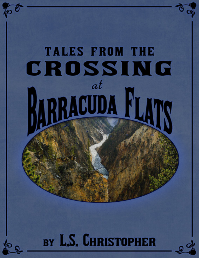# **TALES FROM THE** CROSSING  $at$ RACUDA BY L.S. CHRISTOPHER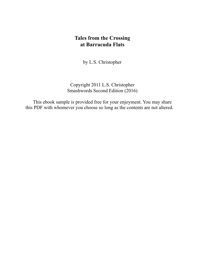# **Tales from the Crossing at Barracuda Flats**

by L.S. Christopher

Copyright 2011 L.S. Christopher Smashwords Second Edition (2016)

This ebook sample is provided free for your enjoyment. You may share this PDF with whomever you choose so long as the contents are not altered.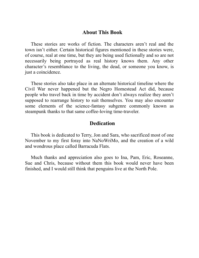#### **About This Book**

These stories are works of fiction. The characters aren't real and the town isn't either. Certain historical figures mentioned in these stories were, of course, real at one time, but they are being used fictionally and so are not necessarily being portrayed as real history knows them. Any other character's resemblance to the living, the dead, or someone you know, is just a coincidence.

These stories also take place in an alternate historical timeline where the Civil War never happened but the Negro Homestead Act did, because people who travel back in time by accident don't always realize they aren't supposed to rearrange history to suit themselves. You may also encounter some elements of the science-fantasy subgenre commonly known as steampunk thanks to that same coffee-loving time-traveler.

#### **Dedication**

This book is dedicated to Terry, Jon and Sara, who sacrificed most of one November to my first foray into NaNoWriMo, and the creation of a wild and wondrous place called Barracuda Flats.

Much thanks and appreciation also goes to Ina, Pam, Eric, Roseanne, Sue and Chris, because without them this book would never have been finished, and I would still think that penguins live at the North Pole.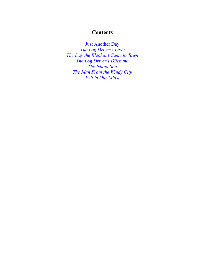## **Contents**

Just Another Day

*The Log Driver's Lady The Day the Elephant Came to Town The Log Driver's Dilemma The Island Son The Man From the Windy City Evil in Our Midst*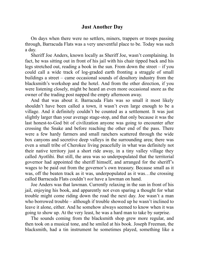### **Just Another Day**

On days when there were no settlers, miners, trappers or troops passing through, Barracuda Flats was a very uneventful place to be. Today was such a day.

Sheriff Joe Anders, known locally as Sheriff Joe, wasn't complaining. In fact, he was sitting out in front of his jail with his chair tipped back and his legs stretched out, reading a book in the sun. From down the street – if you could call a wide track of log-graded earth fronting a straggle of small buildings a street – came occasional sounds of desultory industry from the blacksmith's workshop and the hotel. And from the other direction, if you were listening closely, might be heard an even more occasional snore as the owner of the trading post napped the empty afternoon away.

And that was about it. Barracuda Flats was so small it most likely shouldn't have been called a town, it wasn't even large enough to be a village. And it definitely couldn't be counted as a settlement. It was just slightly larger than your average stage-stop, and that only because it was the last honest-to-God bit of civilization anyone was going to encounter after crossing the Snake and before reaching the other end of the pass. There were a few hardy farmers and small ranchers scattered through the wide box canyons and secretive deep valleys in the surrounding area; there was even a small tribe of Cherokee living peacefully in what was definitely not their native territory just a short ride away, in a tiny valley village they called Ayotlihi. But still, the area was so underpopulated that the territorial governor had appointed the sheriff himself, and arranged for the sheriff's wages to be paid out from the governor's own treasury. Because small as it was, off the beaten track as it was, underpopulated as it was…the crossing called Barracuda Flats couldn't *not* have a lawman on hand.

Joe Anders was that lawman. Currently relaxing in the sun in front of his jail, enjoying his book, and apparently not even sparing a thought for what trouble might come riding down the road the next day. Joe wasn't a man who borrowed trouble – although if trouble showed up he wasn't inclined to leave it alone, either. And he somehow always seemed to know when it was going to show up. At the very least, he was a hard man to take by surprise.

The sounds coming from the blacksmith shop grew more regular, and then took on a musical tone, and he smiled at his book. Joseph Freeman, the blacksmith, had a tin instrument he sometimes played, something like a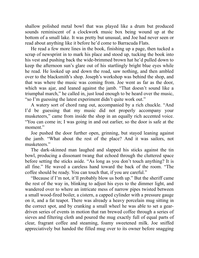shallow polished metal bowl that was played like a drum but produced sounds reminiscent of a clockwork music box being wound up at the bottom of a small lake. It was pretty but unusual, and Joe had never seen or read about anything like it before he'd come to Barracuda Flats.

He read a few more lines in the book, finishing up a page, then tucked a scrap of newsprint in to mark his place and stood up, tucking the book into his vest and pushing back the wide-brimmed brown hat he'd pulled down to keep the afternoon sun's glare out of his startlingly bright blue eyes while he read. He looked up and down the road, saw nothing, and then ambled over to the blacksmith's shop. Joseph's workshop was behind the shop, and that was where the music was coming from. Joe went as far as the door, which was ajar, and leaned against the jamb. "That doesn't sound like a triumphal march," he called in, just loud enough to be heard over the music, "so I'm guessing the latest experiment didn't quite work out."

A watery sort of chord rang out, accompanied by a rich chuckle. "And I'd be guessing that my music did not properly accompany your musketeers," came from inside the shop in an equally rich accented voice. "You can come in; I was going in and out earlier, so the door is safe at the moment."

Joe pushed the door further open, grinning, but stayed leaning against the jamb. "What about the rest of the place? And it was sailors, not musketeers."

The dark-skinned man laughed and slapped his sticks against the tin bowl, producing a dissonant twang that echoed through the cluttered space before setting the sticks aside. "As long as you don't touch anything? It is all fine." He waved a careless hand toward the back of the room. "The coffee should be ready. You can touch that, if you are careful."

"Because if I'm not, it'll probably blow us both up." But the sheriff came the rest of the way in, blinking to adjust his eyes to the dimmer light, and wandered over to where an intricate mess of narrow pipes twisted between a small wood-fired boiler, a cistern, a capped cylinder with a pressure gauge on it, and a fat teapot. There was already a heavy porcelain mug sitting in the correct spot, and by cranking a small wheel he was able to set a geardriven series of events in motion that ran brewed coffee through a series of sieves and filtering cloth and poured the mug exactly full of equal parts of clear, fragrant coffee and steaming, foamy sweetened milk. Joe sniffed appreciatively but handed the filled mug over to its owner before snagging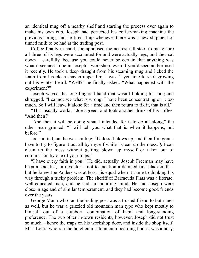an identical mug off a nearby shelf and starting the process over again to make his own cup. Joseph had perfected his coffee-making machine the previous spring, and he fired it up whenever there was a new shipment of tinned milk to be had at the trading post.

Coffee finally in hand, Joe appraised the nearest tall stool to make sure all three of its legs were accounted for and were actually legs, and then sat down – carefully, because you could never be certain that anything was what it seemed to be in Joseph's workshop, even if you'd seen and/or used it recently. He took a deep draught from his steaming mug and licked the foam from his clean-shaven upper lip; it wasn't yet time to start growing out his winter beard. "Well?" he finally asked. "What happened with the experiment?"

Joseph waved the long-fingered hand that wasn't holding his mug and shrugged. "I cannot see what is wrong; I have been concentrating on it too much. So I will leave it alone for a time and then return to fix it, that is all."

"That usually works," Joe agreed, and took another drink of his coffee. "And then?"

"And then it will be doing what I intended for it to do all along," the other man grinned. "I will tell you what that is when it happens, not before."

Joe snorted, but he was smiling. "Unless it blows up, and then I'm gonna have to try to figure it out all by myself while I clean up the mess. *If* I can clean up the mess without getting blown up myself or taken out of commission by one of your traps."

"I have every faith in you." He did, actually. Joseph Freeman may have been a scientist, an inventor – not to mention a damned fine blacksmith – but he knew Joe Anders was at least his equal when it came to thinking his way through a tricky problem. The sheriff of Barracuda Flats was a literate, well-educated man, and he had an inquiring mind. He and Joseph were close in age and of similar temperament, and they had become good friends over the years.

George Mann who ran the trading post was a trusted friend to both men as well, but he was a grizzled old mountain man type who kept mostly to himself out of a stubborn combination of habit and long-standing preference. The two other in-town residents, however, Joseph did not trust so much – hence the traps on his workshop door, and inside the shop itself. Miss Lottie who ran the hotel cum saloon cum boarding house, was a nosy,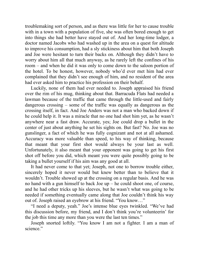troublemaking sort of person, and as there was little for her to cause trouble with in a town with a population of five, she was often bored enough to get into things she had better have stayed out of. And her long-time lodger, a doctor named Jacobs who had washed up in the area on a quest for altitude to improve his consumption, had a sly stickiness about him that both Joseph and Joe were hesitant to turn their backs on. Although they didn't have to worry about him all that much anyway, as he rarely left the confines of his room – and when he did it was only to come down to the saloon portion of the hotel. To be honest, however, nobody who'd ever met him had ever complained that they didn't see enough of him, and no resident of the area had ever asked him to practice his profession on their behalf.

Luckily, none of them had ever needed to. Joseph appraised his friend over the rim of his mug, thinking about that. Barracuda Flats had needed a lawman because of the traffic that came through the little-used and fairly dangerous crossing – some of the traffic was equally as dangerous as the crossing itself, in fact. And Joe Anders was not a man who backed down if he could help it. It was a miracle that no one had shot him yet, as he wasn't anywhere near a fast draw. Accurate, yes; Joe could drop a bullet in the center of just about anything he set his sights on. But fast? No. Joe was no gunslinger, a fact of which he was fully cognizant and not at all ashamed. Accuracy was more valuable than speed, to his way of thinking, because that meant that your first shot would always be your last as well. Unfortunately, it also meant that your opponent was going to get his first shot off before you did, which meant you were quite possibly going to be taking a bullet yourself if his aim was any good at all.

It had never come to that yet; Joseph, not one to borrow trouble either, sincerely hoped it never would but knew better than to believe that it wouldn't. Trouble showed up at the crossing on a regular basis. And he was no hand with a gun himself to back Joe up – he could shoot one, of course, and he had other tricks up his sleeves, but he wasn't what was going to be needed if something eventually came along that Joe couldn't think his way out of. Joseph raised an eyebrow at his friend. "You know…"

"I need a deputy, yeah." Joe's intense blue eyes twinkled. "We've had this discussion before, my friend, and I don't think you're volunteerin' for the job this time any more than you were the last ten times."

Joseph snorted loftily. "You know I am not a fighter. I am a man of science."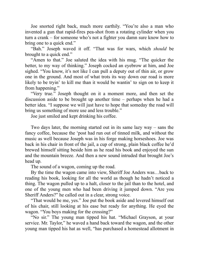Joe snorted right back, much more earthily. "You're also a man who invented a gun that rapid-fires pea-shot from a rotating cylinder when you turn a crank – for someone who's not a fighter you damn sure know how to bring one to a quick end."

"Bah." Joseph waved it off. "That was for wars, which *should* be brought to a quick end."

"Amen to that." Joe saluted the idea with his mug. "The quicker the better, to my way of thinking." Joseph cocked an eyebrow at him, and Joe sighed. "You know, it's not like I can pull a deputy out of thin air, or grow one in the ground. And most of what trots its way down our road is more likely to be tryin' to kill me than it would be wantin' to sign on to keep it from happening."

"Very true." Joseph thought on it a moment more, and then set the discussion aside to be brought up another time – perhaps when he had a better idea. "I suppose we will just have to hope that someday the road will bring us something of more use and less trouble."

Joe just smiled and kept drinking his coffee.

Two days later, the morning started out in its same lazy way – sans the fancy coffee, because the 'post had run out of tinned milk, and without the music as well because Joseph was in his forge making horseshoes. Joe was back in his chair in front of the jail, a cup of strong, plain black coffee he'd brewed himself sitting beside him as he read his book and enjoyed the sun and the mountain breeze. And then a new sound intruded that brought Joe's head up.

The sound of a wagon, coming up the road.

By the time the wagon came into view, Sheriff Joe Anders was…back to reading his book, looking for all the world as though he hadn't noticed a thing. The wagon pulled up to a halt, closer to the jail than to the hotel, and one of the young men who had been driving it jumped down. "Are you Sheriff Anders?" he called out in a clear, strong voice.

"That would be me, yes." Joe put the book aside and levered himself out of his chair, still looking at his ease but ready for anything. He eyed the wagon. "You boys making for the crossing?"

"No sir." The young man tipped his hat. "Michael Grayson, at your service. Mr. Taylor," he waved a hand back toward the wagon, and the other young man tipped his hat as well, "has purchased a homestead allotment in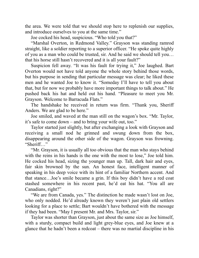the area. We were told that we should stop here to replenish our supplies, and introduce ourselves to you at the same time."

Joe cocked his head, suspicious. "Who told you that?"

"Marshal Overton, in Redmond Valley." Grayson was standing ramrod straight, like a soldier reporting to a superior officer. "He spoke quite highly of you as a man who could be trusted, sir. And he said we should tell you… that his horse still hasn't recovered and it is all your fault?"

Suspicion fell away. "It was his fault for trying it," Joe laughed. Bart Overton would not have told anyone the whole story behind those words, but his purpose in sending that particular message was clear; he liked these men and he wanted Joe to know it. "Someday I'll have to tell you about that, but for now we probably have more important things to talk about." He pushed back his hat and held out his hand. "Pleasure to meet you Mr. Grayson. Welcome to Barracuda Flats."

The handshake he received in return was firm. "Thank you, Sheriff Anders. We are glad to be here."

Joe smiled, and waved at the man still on the wagon's box. "Mr. Taylor, it's safe to come down – and to bring your wife out, too."

Taylor started just slightly, but after exchanging a look with Grayson and receiving a small nod he grinned and swung down from the box, disappearing around the other side of the wagon. Grayson was frowning. "Sheriff…"

"Mr. Grayson, it is usually all too obvious that the man who stays behind with the reins in his hands is the one with the most to lose," Joe told him. He cocked his head, sizing the younger man up. Tall, dark hair and eyes, fair skin browned by the sun. An honest face, intelligent manner of speaking in his deep voice with its hint of a familiar Northern accent. And that stance…Joe's smile became a grin. If this boy didn't have a red coat stashed somewhere in his recent past, he'd eat his hat. "You all are Canadians, right?"

"We are from Canada, yes." The distinction he made wasn't lost on Joe, who only nodded. He'd already known they weren't just plain old settlers looking for a place to settle; Bart wouldn't have bothered with the message if they had been. "May I present Mr. and Mrs. Taylor, sir."

Taylor was shorter than Grayson, just about the same size as Joe himself, with a sturdy, compact build and light grey-blue eyes, and Joe knew at a glance that he hadn't been a redcoat – there was no martial discipline in his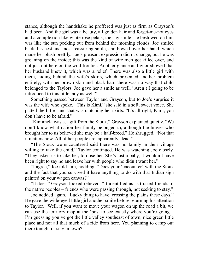stance, although the handshake he proffered was just as firm as Grayson's had been. And the girl was a beauty, all golden hair and forget-me-not eyes and a complexion like white rose petals; the shy smile she bestowed on him was like the sun peeking out from behind the morning clouds. Joe smiled back, his best and most reassuring smile, and bowed over her hand, which made her blush prettily. Joe's pleasant expression didn't change, but he was groaning on the inside; this was the kind of wife men got killed over, and not just out here on the wild frontier. Another glance at Taylor showed that her husband knew it, which was a relief. There was also a little girl with them, hiding behind the wife's skirts, which presented another problem entirely; with her brown skin and black hair, there was no way that child belonged to the Taylors. Joe gave her a smile as well. "Aren't I going to be introduced to this little lady as well?"

Something passed between Taylor and Grayson, but to Joe's surprise it was the wife who spoke. "This is Kimi," she said in a soft, sweet voice. She patted the little hand that was clutching her skirts. "It's all right, Kimi, you don't have to be afraid."

"Kimimela was a…gift from the Sioux," Grayson explained quietly. "We don't know what nation her family belonged to, although the braves who brought her to us believed she may be a half-breed." He shrugged. "Not that it matters now. All of her people are, apparently, dead."

"The Sioux we encountered said there was no family in their village willing to take the child," Taylor continued. He was watching Joe closely. "They asked us to take her, to raise her. She's just a baby, it wouldn't have been right to say no and leave her with people who didn't want her."

"I agree," Joe told him, nodding. "Does your 'encounter' with the Sioux and the fact that you survived it have anything to do with that Indian sign painted on your wagon canvas?"

"It does." Grayson looked relieved. "It identified us as trusted friends of the native peoples – friends who were passing through, not seeking to stay."

Joe nodded again. "Lucky thing to have, crossing the plains these days." He gave the wide-eyed little girl another smile before returning his attention to Taylor. "Well, if you want to move your wagon on up the road a bit, we can use the territory map at the 'post to see exactly where you're going – I'm guessing you've got the little valley southeast of town, nice green little place and not all that much of a ride from here. You planning to camp out there tonight or stay in town?"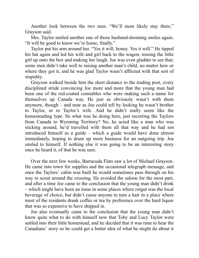Another look between the two men. "We'll most likely stay there," Grayson said.

Mrs. Taylor smiled another one of those husband-dooming smiles again. "It will be good to know we're home, finally."

Taylor put his arm around her. "Yes it will, honey. Yes it will." He tipped his hat again and led his wife and girl back to the wagon, tossing the little girl up onto the box and making her laugh. Joe was even gladder to see that; some men didn't take well to raising another man's child, no matter how or where they got it, and he was glad Taylor wasn't afflicted with that sort of stupidity.

Grayson walked beside him the short distance to the trading post, every disciplined stride convincing Joe more and more that the young man had been one of the red-coated constables who were making such a name for themselves up Canada way. He just as obviously wasn't with them anymore, though – and near as Joe could tell by looking he wasn't brother to Taylor, or to Taylor's wife. And he didn't really seem like the homesteading type. So what was he doing here, just escorting the Taylors from Canada to Wyoming Territory? No, he acted like a man who was sticking around, he'd travelled with them all that way and he had not introduced himself as a guide – which a guide would have done almost immediately, hoping to drum up more business for an outgoing trip. Joe smiled to himself. If nothing else it was going to be an interesting story once he heard it, of that he was sure.

Over the next few weeks, Barracuda Flats saw a lot of Michael Grayson. He came into town for supplies and the occasional telegraph message, and once the Taylors' cabin was built he would sometimes pass through on his way to scout around the crossing. He avoided the saloon for the most part, and after a time Joe came to the conclusion that the young man didn't drink – which might have been an issue in some places where rotgut was the local beverage of choice, but didn't cause anyone to turn a hair in a place where most of the residents drank coffee or tea by preference over the hard liquor that was so expensive to have shipped in.

Joe also eventually came to the conclusion that the young man didn't know quite what to do with himself now that Toby and Lucy Taylor were settled into their little homestead, and he decided that it was time to hear the Canadians' story so he could get a better idea of what he might do about it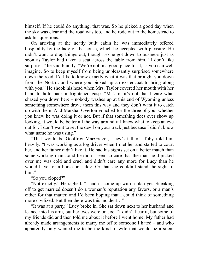himself. If he could do anything, that was. So he picked a good day when the sky was clear and the road was too, and he rode out to the homestead to ask his questions.

On arriving at the neatly built cabin he was immediately offered hospitality by the lady of the house, which he accepted with pleasure. He didn't want to drag things out, though, so he got down to business just as soon as Taylor had taken a seat across the table from him. "I don't like surprises," he said bluntly. "We're not in a good place for it, as you can well imagine. So to keep myself from being unpleasantly surprised somewhere down the road, I'd like to know exactly what it was that brought you down from the North…and where you picked up an ex-redcoat to bring along with you." He shook his head when Mrs. Taylor covered her mouth with her hand to hold back a frightened gasp. "Ma'am, it's not that I care what chased you down here – nobody washes up at this end of Wyoming unless something somewhere drove them this way and they don't want it to catch up with them. And Marshal Overton vouched for the three of you, whether you knew he was doing it or not. But if that something does ever show up looking, it would be better all the way around if I knew what to keep an eye out for. I don't want to set the devil on your track just because I didn't know what name he was using."

"That would be Geoffrey MacGregor, Lucy's father," Toby told him heavily. "I was working as a log driver when I met her and started to court her, and her father didn't like it. He had his sights set on a better match than some working man…and he didn't seem to care that the man he'd picked over me was cold and cruel and didn't care any more for Lucy than he would have for a horse or a dog. Or that she couldn't stand the sight of him."

#### "So you eloped?"

"Not exactly." He sighed. "I hadn't come up with a plan yet. Sneaking off to get married doesn't do a woman's reputation any favors, or a man's either for that matter, and I'd been hoping that I could think of something more civilized. But then there was this incident…"

"It was at a party," Lucy broke in. She sat down next to her husband and leaned into his arm, but her eyes were on Joe. "I didn't hear it, but some of my friends did and then told me about it before I went home. My father had already made arrangements to marry me off to someone I hated – and who apparently only wanted me to be the kind of wife that would be a silent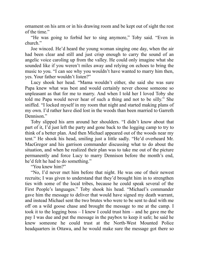ornament on his arm or in his drawing room and be kept out of sight the rest of the time."

"He was going to forbid her to sing anymore," Toby said. "Even in church."

Joe winced. He'd heard the young woman singing one day, when the air had been clear and still and just crisp enough to carry the sound of an angelic voice caroling up from the valley. He could only imagine what she sounded like if you weren't miles away and relying on echoes to bring the music to you. "I can see why you wouldn't have wanted to marry him then, yes. Your father wouldn't listen?"

Lucy shook her head. "Mama wouldn't either, she said she was sure Papa knew what was best and would certainly never choose someone so unpleasant as that for me to marry. And when I told her I loved Toby she told me Papa would never hear of such a thing and not to be silly." She sniffed. "I locked myself in my room that night and started making plans of my own. I'd rather have died lost in the woods than been married to Garreth Dennison."

Toby slipped his arm around her shoulders. "I didn't know about that part of it, I'd just left the party and gone back to the logging camp to try to think of a better plan. And then Michael appeared out of the woods near my tent." He shook his head, smiling just a little sadly. "He'd overheard Mr. MacGregor and his garrison commander discussing what to do about the situation, and when he realized their plan was to take me out of the picture permanently and force Lucy to marry Dennison before the month's end, he'd felt he had to do something."

"You knew him?"

"No, I'd never met him before that night. He was one of their newest recruits; I was given to understand that they'd brought him in to strengthen ties with some of the local tribes, because he could speak several of the First People's languages." Toby shook his head. "Michael's commander gave him the message to deliver that would have signed my death warrant, and instead Michael sent the two brutes who were to be sent to deal with me off on a wild goose chase and brought the message to me at the camp. I took it to the logging boss – I knew I could trust him – and he gave me the pay I was due and put the message in the paybox to keep it safe; he said he knew someone he could trust at the North-West Mounted Police headquarters in Ottawa, and he would make sure the message got there so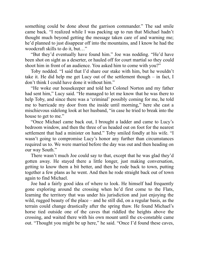something could be done about the garrison commander." The sad smile came back. "I realized while I was packing up to run that Michael hadn't thought much beyond getting the message taken care of and warning me; he'd planned to just disappear off into the mountains, and I know he had the woodcraft skills to do it, but…"

"But they'd eventually have found him." Joe was nodding. "He'd have been shot on sight as a deserter, or hauled off for court martial so they could shoot him in front of an audience. You asked him to come with you?"

Toby nodded. "I said that I'd share our stake with him, but he wouldn't take it. He did help me get Lucy out of the settlement though – in fact, I don't think I could have done it without him."

"He woke our housekeeper and told her Colonel Norton and my father had sent him," Lucy said. "He managed to let me know that he was there to help Toby, and since there was a 'criminal' possibly coming for me, he told me to barricade my door from the inside until morning," here she cast a mischievous sidelong look at her husband, "in case he tried to break into the house to get to me."

"Once Michael came back out, I brought a ladder and came to Lucy's bedroom window, and then the three of us headed out on foot for the nearest settlement that had a minister on hand." Toby smiled fondly at his wife. "I wasn't going to compromise Lucy's honor any further than circumstances required us to. We were married before the day was out and then heading on our way South."

There wasn't much Joe could say to that, except that he was glad they'd gotten away. He stayed there a little longer, just making conversation, getting to know them a bit better, and then he rode back to town, putting together a few plans as he went. And then he rode straight back out of town again to find Michael.

Joe had a fairly good idea of where to look. He himself had frequently gone exploring around the crossing when he'd first come to the Flats, learning the territory that was under his jurisdiction and just enjoying the wild, rugged beauty of the place – and he still did, on a regular basis, as the terrain could change drastically after the spring thaw. He found Michael's horse tied outside one of the caves that riddled the heights above the crossing, and waited there with his own mount until the ex-constable came out. "Thought you might be up here," he said. "Once I'd found these caves,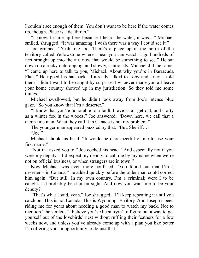I couldn't see enough of them. You don't want to be here if the water comes up, though. Place is a deathtrap."

"I know. I came up here because I heard the water, it was…" Michael smiled, shrugged. "It was amazing, I wish there was a way I could see it."

Joe grinned. "Yeah, me too. There's a place up in the north of the territory called Yellowstone where I hear you can watch it go hundreds of feet straight up into the air, now that would be something to see." He sat down on a rocky outcropping, and slowly, cautiously, Michael did the same. "I came up here to talk to you, Michael. About why you're in Barracuda Flats." He tipped his hat back. "I already talked to Toby and Lucy – told them I didn't want to be caught by surprise if whoever made you all leave your home country showed up in my jurisdiction. So they told me some things."

Michael swallowed, but he didn't look away from Joe's intense blue gaze. "So you know that I'm a deserter."

"I know that you're honorable to a fault, brave as all get-out, and crafty as a winter fox in the woods," Joe answered. "Down here, we call that a damn fine man. What they call it in Canada is not my problem."

The younger man appeared puzzled by that. "But, Sheriff..."

"Joe."

Michael shook his head. "It would be disrespectful of me to use your first name."

"Not if I asked you to." Joe cocked his head. "And especially not if you were my deputy  $-1$ 'd expect my deputy to call me by my name when we're not on official business, or when strangers are in town."

Now Michael was even more confused. "You found out that I'm a deserter – in Canada," he added quickly before the older man could correct him again. "But still. In my own country, I'm a criminal; were I to be caught, I'd probably be shot on sight. And now you want me to be your deputy?"

"That's what I said, yeah." Joe shrugged. "I'll keep repeating it until you catch on: This is not Canada. This is Wyoming Territory. And Joseph's been riding me for years about needing a good man to watch my back. Not to mention," he smiled, "I believe you've been tryin' to figure out a way to get yourself out of the lovebirds' nest without ruffling their feathers for a few weeks now, and unless you've already come up with a plan you like better I'm offering you an opportunity to do just that."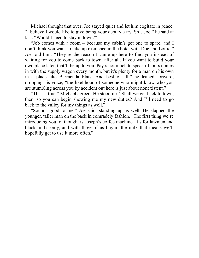Michael thought that over; Joe stayed quiet and let him cogitate in peace. "I believe I would like to give being your deputy a try, Sh…Joe," he said at last. "Would I need to stay in town?"

"Job comes with a room – because my cabin's got one to spare, and I don't think you want to take up residence in the hotel with Doc and Lottie," Joe told him. "They're the reason I came up here to find you instead of waiting for you to come back to town, after all. If you want to build your own place later, that'll be up to you. Pay's not much to speak of, ours comes in with the supply wagon every month, but it's plenty for a man on his own in a place like Barracuda Flats. And best of all," he leaned forward, dropping his voice, "the likelihood of someone who might know who you are stumbling across you by accident out here is just about nonexistent."

"That is true," Michael agreed. He stood up. "Shall we get back to town, then, so you can begin showing me my new duties? And I'll need to go back to the valley for my things as well."

"Sounds good to me," Joe said, standing up as well. He slapped the younger, taller man on the back in comradely fashion. "The first thing we're introducing you to, though, is Joseph's coffee machine. It's for lawmen and blacksmiths only, and with three of us buyin' the milk that means we'll hopefully get to use it more often."